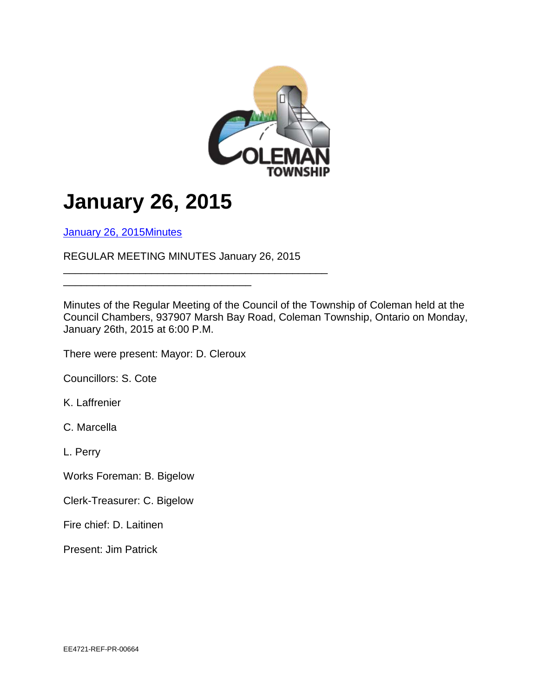

## **January 26, 2015**

[January 26, 2015Minutes](http://colemantownship.ca/january-26-2015/)

REGULAR MEETING MINUTES January 26, 2015

\_\_\_\_\_\_\_\_\_\_\_\_\_\_\_\_\_\_\_\_\_\_\_\_\_\_\_\_\_\_\_\_\_\_\_\_\_\_\_\_\_\_\_\_\_

Minutes of the Regular Meeting of the Council of the Township of Coleman held at the Council Chambers, 937907 Marsh Bay Road, Coleman Township, Ontario on Monday, January 26th, 2015 at 6:00 P.M.

There were present: Mayor: D. Cleroux

\_\_\_\_\_\_\_\_\_\_\_\_\_\_\_\_\_\_\_\_\_\_\_\_\_\_\_\_\_\_\_\_

Councillors: S. Cote

K. Laffrenier

C. Marcella

L. Perry

Works Foreman: B. Bigelow

Clerk-Treasurer: C. Bigelow

Fire chief: D. Laitinen

Present: Jim Patrick